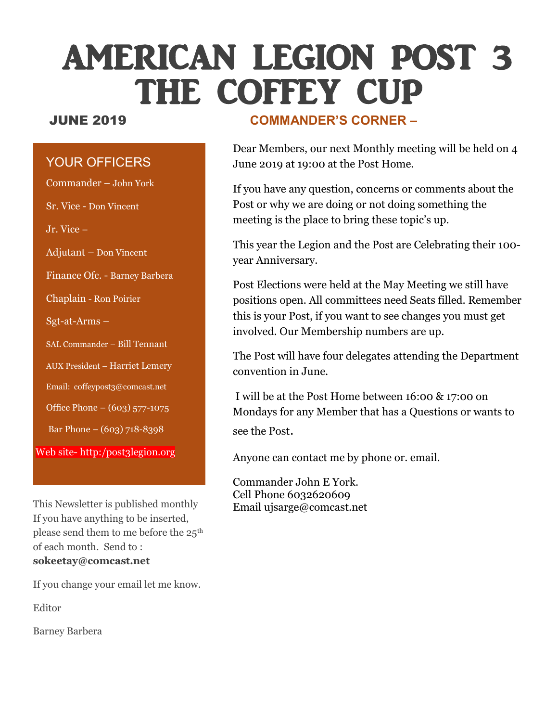## AMERICAN LEGION POST 3 THE COFFEY CUP

#### YOUR OFFICERS

Commander – John York Sr. Vice - Don Vincent Jr. Vice – Adjutant – Don Vincent Finance Ofc. - Barney Barbera Chaplain - Ron Poirier Sgt-at-Arms – SAL Commander – Bill Tennant AUX President – Harriet Lemery Email: coffeypost3@comcast.net Office Phone – (603) 577-1075 Bar Phone – (603) 718-8398 Web site- http:/post3legion.org

This Newsletter is published monthly If you have anything to be inserted, please send them to me before the 25th of each month. Send to : **sokeetay@comcast.net**

If you change your email let me know.

Editor

Barney Barbera

#### JUNE 2019 **COMMANDER'S CORNER –**

Dear Members, our next Monthly meeting will be held on 4 June 2019 at 19:00 at the Post Home.

If you have any question, concerns or comments about the Post or why we are doing or not doing something the meeting is the place to bring these topic's up.

This year the Legion and the Post are Celebrating their 100 year Anniversary.

Post Elections were held at the May Meeting we still have positions open. All committees need Seats filled. Remember this is your Post, if you want to see changes you must get involved. Our Membership numbers are up.

The Post will have four delegates attending the Department convention in June.

I will be at the Post Home between 16:00 & 17:00 on Mondays for any Member that has a Questions or wants to see the Post.

Anyone can contact me by phone or. email.

Commander John E York. Cell Phone 6032620609 Email ujsarge@comcast.net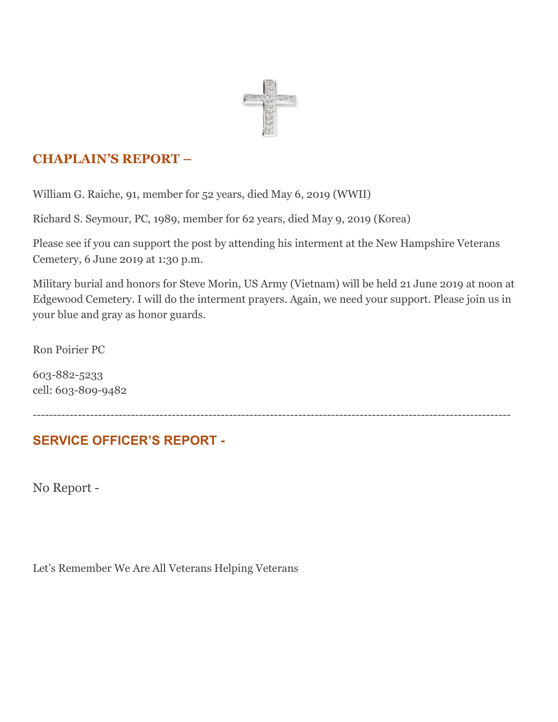

#### **CHAPLAIN'S REPORT –**

William G. Raiche, 91, member for 52 years, died May 6, 2019 (WWII)

Richard S. Seymour, PC, 1989, member for 62 years, died May 9, 2019 (Korea)

Please see if you can support the post by attending his interment at the New Hampshire Veterans Cemetery, 6 June 2019 at 1:30 p.m.

Military burial and honors for Steve Morin, US Army (Vietnam) will be held 21 June 2019 at noon at Edgewood Cemetery. I will do the interment prayers. Again, we need your support. Please join us in your blue and gray as honor guards.

Ron Poirier PC

603-882-5233 cell: 603-809-9482

---------------------------------------------------------------------------------------------------------------------

### **SERVICE OFFICER'S REPORT -**

No Report -

Let's Remember We Are All Veterans Helping Veterans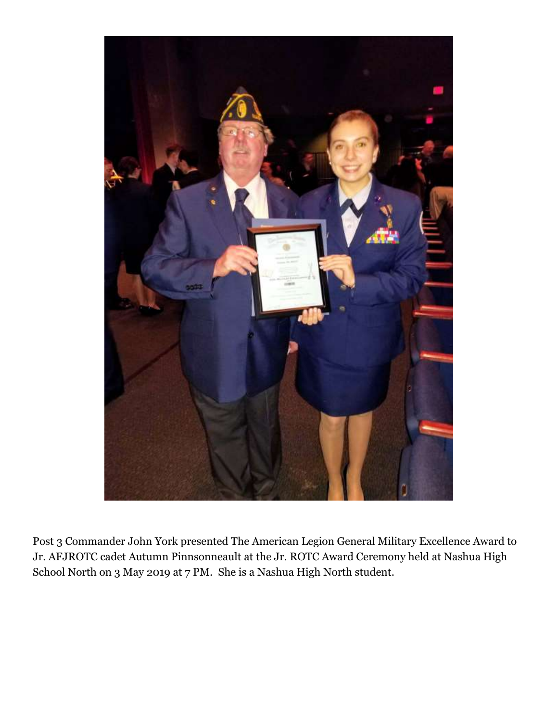

Post 3 Commander John York presented The American Legion General Military Excellence Award to Jr. AFJROTC cadet Autumn Pinnsonneault at the Jr. ROTC Award Ceremony held at Nashua High School North on 3 May 2019 at 7 PM. She is a Nashua High North student.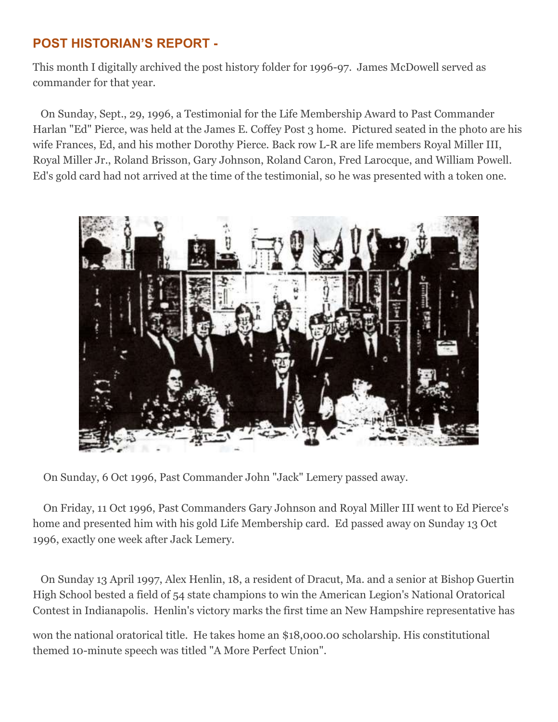#### **POST HISTORIAN'S REPORT -**

This month I digitally archived the post history folder for 1996-97. James McDowell served as commander for that year.

 On Sunday, Sept., 29, 1996, a Testimonial for the Life Membership Award to Past Commander Harlan "Ed" Pierce, was held at the James E. Coffey Post 3 home. Pictured seated in the photo are his wife Frances, Ed, and his mother Dorothy Pierce. Back row L-R are life members Royal Miller III, Royal Miller Jr., Roland Brisson, Gary Johnson, Roland Caron, Fred Larocque, and William Powell. Ed's gold card had not arrived at the time of the testimonial, so he was presented with a token one.



On Sunday, 6 Oct 1996, Past Commander John "Jack" Lemery passed away.

 On Friday, 11 Oct 1996, Past Commanders Gary Johnson and Royal Miller III went to Ed Pierce's home and presented him with his gold Life Membership card. Ed passed away on Sunday 13 Oct 1996, exactly one week after Jack Lemery.

 On Sunday 13 April 1997, Alex Henlin, 18, a resident of Dracut, Ma. and a senior at Bishop Guertin High School bested a field of 54 state champions to win the American Legion's National Oratorical Contest in Indianapolis. Henlin's victory marks the first time an New Hampshire representative has

won the national oratorical title. He takes home an \$18,000.00 scholarship. His constitutional themed 10-minute speech was titled "A More Perfect Union".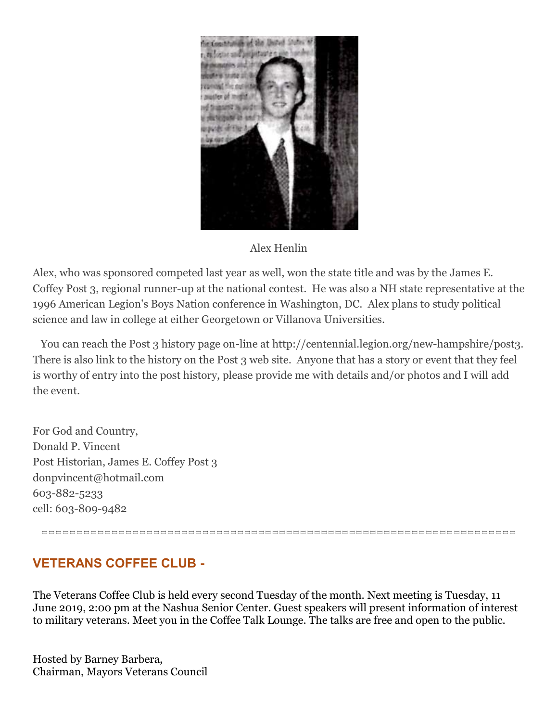

#### Alex Henlin

Alex, who was sponsored competed last year as well, won the state title and was by the James E. Coffey Post 3, regional runner-up at the national contest. He was also a NH state representative at the 1996 American Legion's Boys Nation conference in Washington, DC. Alex plans to study political science and law in college at either Georgetown or Villanova Universities.

 You can reach the Post 3 history page on-line at http://centennial.legion.org/new-hampshire/post3. There is also link to the history on the Post 3 web site. Anyone that has a story or event that they feel is worthy of entry into the post history, please provide me with details and/or photos and I will add the event.

For God and Country, Donald P. Vincent Post Historian, James E. Coffey Post 3 donpvincent@hotmail.com 603-882-5233 cell: 603-809-9482

====================================================================

#### **VETERANS COFFEE CLUB -**

The Veterans Coffee Club is held every second Tuesday of the month. Next meeting is Tuesday, 11 June 2019, 2:00 pm at the Nashua Senior Center. Guest speakers will present information of interest to military veterans. Meet you in the Coffee Talk Lounge. The talks are free and open to the public.

Hosted by Barney Barbera, Chairman, Mayors Veterans Council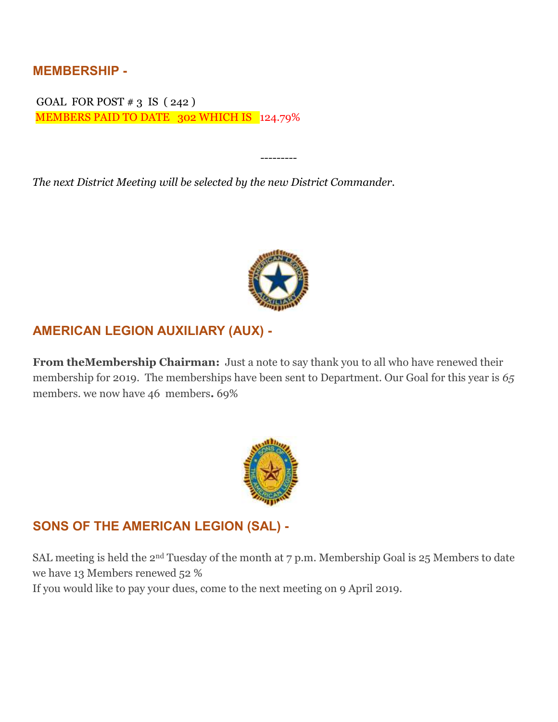**MEMBERSHIP -**

GOAL FOR POST  $\#$  3 IS (242) MEMBERS PAID TO DATE 302 WHICH IS 124.79%

*The next District Meeting will be selected by the new District Commander.*



*---------*

#### **AMERICAN LEGION AUXILIARY (AUX) -**

**From theMembership Chairman:** Just a note to say thank you to all who have renewed their membership for 2019. The memberships have been sent to Department. Our Goal for this year is *65* members. we now have 46 members**.** 69%



#### **SONS OF THE AMERICAN LEGION (SAL) -**

SAL meeting is held the 2nd Tuesday of the month at 7 p.m. Membership Goal is 25 Members to date we have 13 Members renewed 52 %

If you would like to pay your dues, come to the next meeting on 9 April 2019.